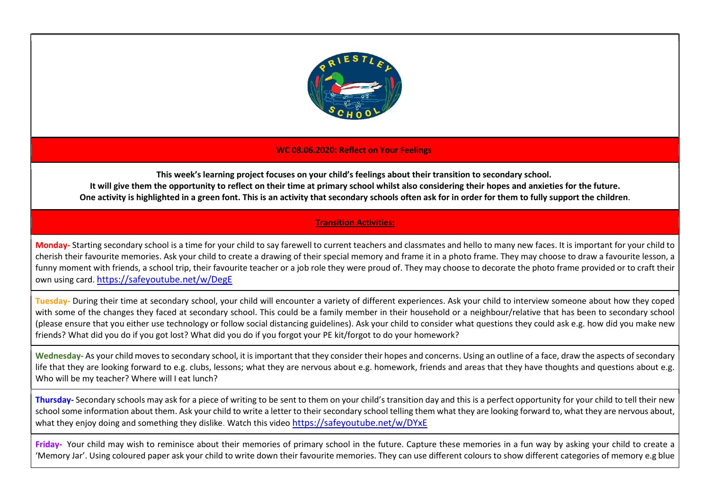

## WC 08.06.2020: Reflect on Your Feelings

This week's learning project focuses on your child's feelings about their transition to secondary school. It will give them the opportunity to reflect on their time at primary school whilst also considering their hopes and anxieties for the future. One activity is highlighted in a green font. This is an activity that secondary schools often ask for in order for them to fully support the children.

## Transition Activities:

Monday-Starting secondary school is a time for your child to say farewell to current teachers and classmates and hello to many new faces. It is important for your child to cherish their favourite memories. Ask your child to create a drawing of their special memory and frame it in a photo frame. They may choose to draw a favourite lesson, a funny moment with friends, a school trip, their favourite teacher or a job role they were proud of. They may choose to decorate the photo frame provided or to craft their own using card. https://safeyoutube.net/w/DegE

Tuesday- During their time at secondary school, your child will encounter a variety of different experiences. Ask your child to interview someone about how they coped with some of the changes they faced at secondary school. This could be a family member in their household or a neighbour/relative that has been to secondary school (please ensure that you either use technology or follow social distancing guidelines). Ask your child to consider what questions they could ask e.g. how did you make new friends? What did you do if you got lost? What did you do if you forgot your PE kit/forgot to do your homework?

Wednesday- As your child moves to secondary school, it is important that they consider their hopes and concerns. Using an outline of a face, draw the aspects of secondary life that they are looking forward to e.g. clubs, lessons; what they are nervous about e.g. homework, friends and areas that they have thoughts and questions about e.g. Who will be my teacher? Where will I eat lunch?

Thursday- Secondary schools may ask for a piece of writing to be sent to them on your child's transition day and this is a perfect opportunity for your child to tell their new school some information about them. Ask your child to write a letter to their secondary school telling them what they are looking forward to, what they are nervous about, what they enjoy doing and something they dislike. Watch this video https://safeyoutube.net/w/DYxE

Friday- Your child may wish to reminisce about their memories of primary school in the future. Capture these memories in a fun way by asking your child to create a 'Memory Jar'. Using coloured paper ask your child to write down their favourite memories. They can use different colours to show different categories of memory e.g blue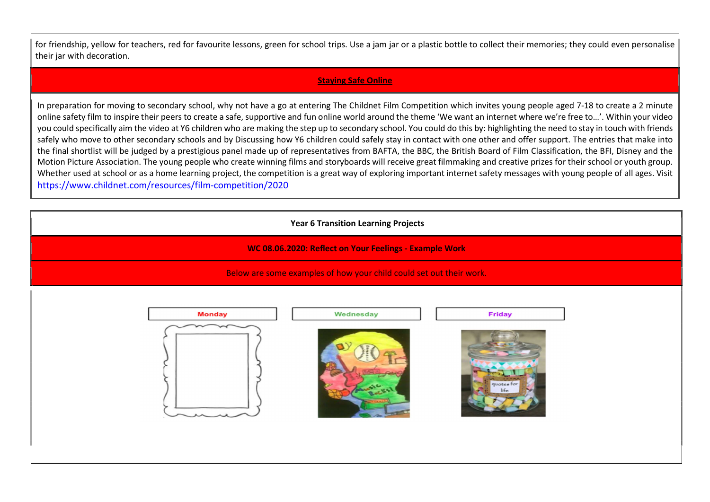for friendship, yellow for teachers, red for favourite lessons, green for school trips. Use a jam jar or a plastic bottle to collect their memories; they could even personalise their jar with decoration.

## Staying Safe Online

In preparation for moving to secondary school, why not have a go at entering The Childnet Film Competition which invites young people aged 7-18 to create a 2 minute online safety film to inspire their peers to create a safe, supportive and fun online world around the theme 'We want an internet where we're free to…'. Within your video you could specifically aim the video at Y6 children who are making the step up to secondary school. You could do this by: highlighting the need to stay in touch with friends safely who move to other secondary schools and by Discussing how Y6 children could safely stay in contact with one other and offer support. The entries that make into the final shortlist will be judged by a prestigious panel made up of representatives from BAFTA, the BBC, the British Board of Film Classification, the BFI, Disney and the Motion Picture Association. The young people who create winning films and storyboards will receive great filmmaking and creative prizes for their school or youth group. Whether used at school or as a home learning project, the competition is a great way of exploring important internet safety messages with young people of all ages. Visit https://www.childnet.com/resources/film-competition/2020